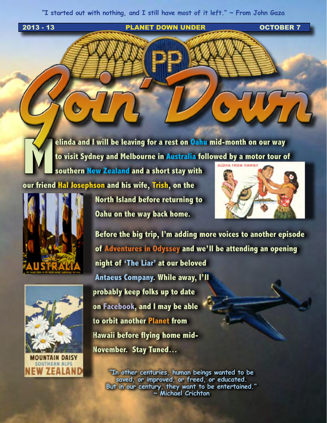**"I started out with nothing, and I still have most of it left." ~ From John Gaza**

**2013 - 13 PLANET DOWN UNDER CONTRACT OCTOBER 7** 

**Melinda and I will be leaving for a rest on Oahu mid-month on our way to visit Sydney and Melbourne in Australia followed by a motor tour of** 

**southern New Zealand and a short stay with our friend Hal Josephson and his wife, Trish, on the** 





**North Island before returning to Oahu on the way back home.** 



**Before the big trip, I'm adding more voices to another episode of Adventures in Odyssey and we'll be attending an opening night of 'The Liar' at our beloved Antaeus Company. While away, I'll probably keep folks up to date on Facebook, and I may be able to orbit another Planet from Hawaii before flying home mid-November. Stay Tuned…**

**"In other centuries, human beings wanted to be saved, or improved, or freed, or educated. But in our century, they want to be entertained." ~ Michael Crichton**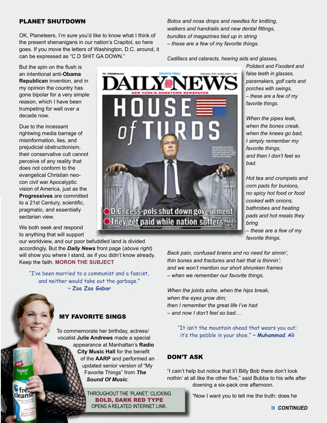#### PLANET SHUTDOWN

OK, Planeteers, I'm sure you'd like to know what I think of the present shenanigans in our nation's Crapitol, so here goes. If you move the letters of Washington, D.C. around, it can be expressed as "C D SHIT GA DOWN."

But the spin on the flush is an intentional anti-**Obama Republican** invention, and in my opinion the country has gone bipolar for a very simple reason, which I have been trumpeting for well over a decade now.

Due to the incessant rightwing media barrage of misinformation, lies, and prejudicial obstructionism, their conservative cult cannot perceive of any reality that does not conform to the evangelical Christian neocon civil war Apocalyptic vision of America, just as the **Progressives** are committed to a 21st Century, scientific, pragmatic, and essentially sectarian view.

We both seek and respond to anything that will support

our worldview, and our poor befuddled land is divided accordingly. But the *Daily News* front page (*above right)*  will show you where I stand, as if you didn't know already. Keep the faith. **[MORON THE SUBJECT](http://www.youtube.com/embed/z9pD_UK6vGU)**

"I've been married to a communist and a fascist, and neither would take out the garbage." ~ **Zsa Zsa Gabor**

### MY FAVORITE SINGS

To commemorate her birthday, actress/ vocalist **Julie Andrews** made a special appearance at Manhattan's **Radio City Music Hall** for the benefit of the **AARP** and performed an updated senior version of "My Favorite Things" from *The Sound Of Music*:

> THROUGHOUT THE 'PLANET,' CLICKING BOLD, DARK RED TYPE OPENS A RELATED INTERNET LINK.

*Botox and nose drops and needles for knitting, walkers and handrails and new dental fittings, bundles of magazines tied up in string – these are a few of my favorite things.* 

*Cadillacs and cataracts, hearing aids and glasses,* 

*Polident and Fixodent and false teeth in glasses, pacemakers, golf carts and porches with swings, – these are a few of my favorite things.* 

*When the pipes leak, when the bones creak, when the knees go bad, I simply remember my favorite things, and then I don't feel so bad.* 

*Hot tea and crumpets and corn pads for bunions, no spicy hot food or food cooked with onions, bathrobes and heating pads and hot meals they bring* 

*– these are a few of my favorite things.*

*Back pain, confused brains and no need for sinnin', thin bones and fractures and hair that is thinnin'; and we won't mention our short shrunken frames – when we remember our favorite things.*

*When the joints ache, when the hips break, when the eyes grow dim; then I remember the great life I've had – and now I don't feel so bad…*

> "It isn't the mountain ahead that wears you out; it's the pebble in your shoe." ~ **Muhammad Ali**

### DON'T ASK

"I cain't help but notice that li'l Billy Bob there don't look nothin' at all like the other five," said Bubba to his wife after downing a six-pack one afternoon.

"Now I want you to tell me the truth: does he

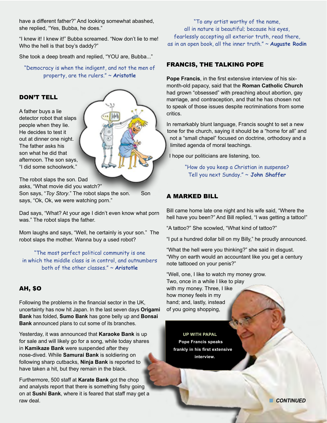have a different father?" And looking somewhat abashed, she replied, "Yes, Bubba, he does."

"I knew it! I knew it!" Bubba screamed. "Now don't lie to me! Who the hell is that boy's daddy?"

She took a deep breath and replied, "YOU are, Bubba..."

"Democracy is when the indigent, and not the men of property, are the rulers." ~ **Aristotle**



A father buys a lie detector robot that slaps people when they lie. He decides to test it out at dinner one night. The father asks his son what he did that afternoon. The son says, "I did some schoolwork."

The robot slaps the son. Dad

asks, "What movie did you watch?" Son says, "*Toy Story*." The robot slaps the son. Son says, "Ok, Ok, we were watching porn."

Dad says, "What? At your age I didn't even know what porn was." The robot slaps the father.

Mom laughs and says, "Well, he certainly is your son." The robot slaps the mother. Wanna buy a used robot?

"The most perfect political community is one in which the middle class is in control, and outnumbers both of the other classes." ~ **Aristotle**

# AH, \$O

Following the problems in the financial sector in the UK, uncertainty has now hit Japan. In the last seven days **Origami Bank** has folded, **Sumo Bank** has gone belly up and **Bonsai Bank** announced plans to cut some of its branches.

Yesterday, it was announced that **Karaoke Bank** is up for sale and will likely go for a song, while today shares in **Kamikaze Bank** were suspended after they nose-dived. While **Samurai Bank** is soldiering on following sharp cutbacks, **Ninja Bank** is reported to have taken a hit, but they remain in the black.

Furthermore, 500 staff at **Karate Bank** got the chop and analysts report that there is something fishy going on at **Sushi Bank**, where it is feared that staff may get a raw deal.

"To any artist worthy of the name, all in nature is beautiful; because his eyes, fearlessly accepting all exterior truth, read there, as in an open book, all the inner truth." ~ **Auguste Rodin**

### FRANCIS, THE TALKING POPE

**Pope Francis**, in the first extensive interview of his sixmonth-old papacy, said that the **Roman Catholic Church** had grown "obsessed" with preaching about abortion, gay marriage, and contraception, and that he has chosen not to speak of those issues despite recriminations from some critics.

In remarkably blunt language, Francis sought to set a new tone for the church, saying it should be a "home for all" and not a "small chapel" focused on doctrine, orthodoxy and a limited agenda of moral teachings.

I hope our politicians are listening, too.

"How do you keep a Christian in suspense? Tell you next Sunday." ~ **John Shaffer**

# A MARKED BILL

Bill came home late one night and his wife said, "Where the hell have you been?" And Bill replied, "I was getting a tattoo!"

"A tattoo?" She scowled, "What kind of tattoo?"

"I put a hundred dollar bill on my Billy," he proudly announced.

"What the hell were you thinking?" she said in disgust. "Why on earth would an accountant like you get a century note tattooed on your penis?"

"Well, one, I like to watch my money grow. Two, once in a while I like to play with my money. Three, I like how money feels in my hand; and, lastly, instead of you going shopping,

**UP WITH PAPAL Pope Francis speaks frankly in his first extensive interview.**

**n** CONTINUED